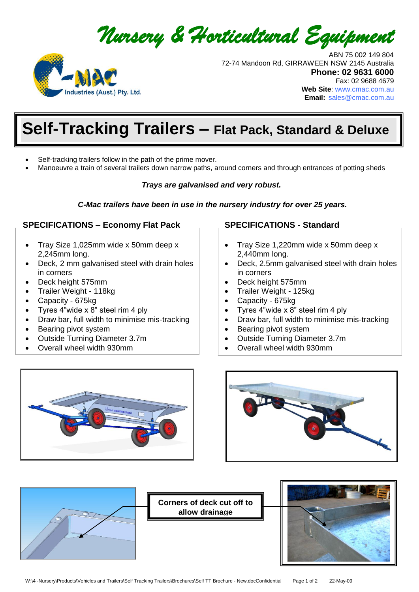



 ABN 75 002 149 804 72-74 Mandoon Rd, GIRRAWEEN NSW 2145 Australia **Phone: 02 9631 6000**  Fax: 02 9688 4679 **Web Site**: [www.cmac.com.au](http://www.cmac.com.au/) **Email:** [sales@cmac.com.au](mailto:sales@cmac.com.au)

# **Self-Tracking Trailers - Flat Pack, Standard & Deluxe**

- Self-tracking trailers follow in the path of the prime mover.
- Manoeuvre a train of several trailers down narrow paths, around corners and through entrances of potting sheds

#### *Trays are galvanised and very robust.*

*C-Mac trailers have been in use in the nursery industry for over 25 years.*

#### **SPECIFICATIONS – Economy Flat Pack**

- Tray Size 1,025mm wide x 50mm deep x 2,245mm long.
- Deck, 2 mm galvanised steel with drain holes in corners
- Deck height 575mm
- Trailer Weight 118kg
- Capacity 675kg
- Tyres 4"wide x 8" steel rim 4 ply
- Draw bar, full width to minimise mis-tracking
- Bearing pivot system
- Outside Turning Diameter 3.7m
- Overall wheel width 930mm

#### **SPECIFICATIONS - Standard**

- Tray Size 1,220mm wide x 50mm deep x 2,440mm long.
- Deck, 2.5mm galvanised steel with drain holes in corners
- Deck height 575mm
- Trailer Weight 125kg
- Capacity 675kg
- Tyres 4"wide x 8" steel rim 4 ply
- Draw bar, full width to minimise mis-tracking
- Bearing pivot system
- Outside Turning Diameter 3.7m
- Overall wheel width 930mm







**Corners of deck cut off to allow drainage**